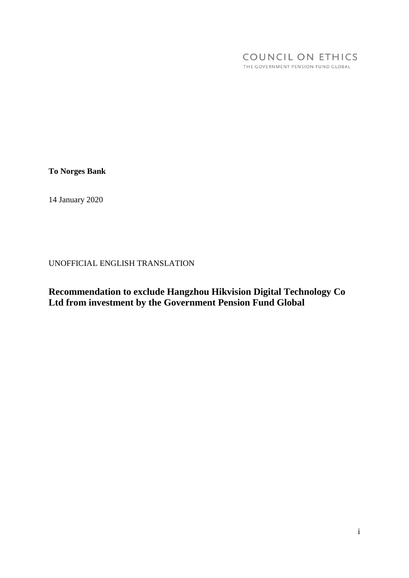#### COUNCIL ON ETHICS THE GOVERNMENT PENSION FUND GLOBAL

**To Norges Bank**

14 January 2020

UNOFFICIAL ENGLISH TRANSLATION

**Recommendation to exclude Hangzhou Hikvision Digital Technology Co Ltd from investment by the Government Pension Fund Global**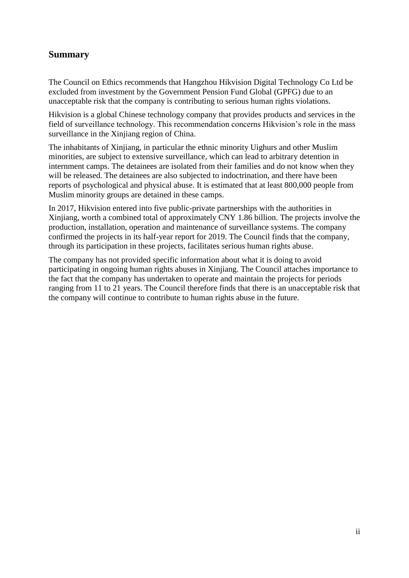#### **Summary**

The Council on Ethics recommends that Hangzhou Hikvision Digital Technology Co Ltd be excluded from investment by the Government Pension Fund Global (GPFG) due to an unacceptable risk that the company is contributing to serious human rights violations.

Hikvision is a global Chinese technology company that provides products and services in the field of surveillance technology. This recommendation concerns Hikvision's role in the mass surveillance in the Xinjiang region of China.

The inhabitants of Xinjiang, in particular the ethnic minority Uighurs and other Muslim minorities, are subject to extensive surveillance, which can lead to arbitrary detention in internment camps. The detainees are isolated from their families and do not know when they will be released. The detainees are also subjected to indoctrination, and there have been reports of psychological and physical abuse. It is estimated that at least 800,000 people from Muslim minority groups are detained in these camps.

In 2017, Hikvision entered into five public-private partnerships with the authorities in Xinjiang, worth a combined total of approximately CNY 1.86 billion. The projects involve the production, installation, operation and maintenance of surveillance systems. The company confirmed the projects in its half-year report for 2019. The Council finds that the company, through its participation in these projects, facilitates serious human rights abuse.

The company has not provided specific information about what it is doing to avoid participating in ongoing human rights abuses in Xinjiang. The Council attaches importance to the fact that the company has undertaken to operate and maintain the projects for periods ranging from 11 to 21 years. The Council therefore finds that there is an unacceptable risk that the company will continue to contribute to human rights abuse in the future.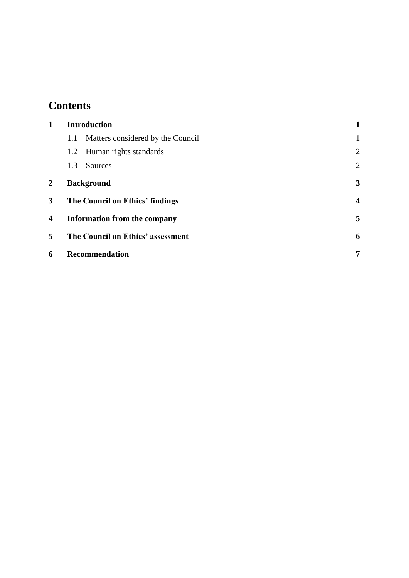# **Contents**

| 1              | <b>Introduction</b>                      |                         |  |
|----------------|------------------------------------------|-------------------------|--|
|                | Matters considered by the Council<br>1.1 |                         |  |
|                | 1.2 Human rights standards               | $\overline{2}$          |  |
|                | Sources<br>1.3                           | $\overline{2}$          |  |
| $\overline{2}$ | <b>Background</b>                        |                         |  |
| 3              | The Council on Ethics' findings          | $\overline{\mathbf{4}}$ |  |
| 4              | <b>Information from the company</b>      |                         |  |
| 5              | The Council on Ethics' assessment        |                         |  |
| 6              | <b>Recommendation</b>                    | 7                       |  |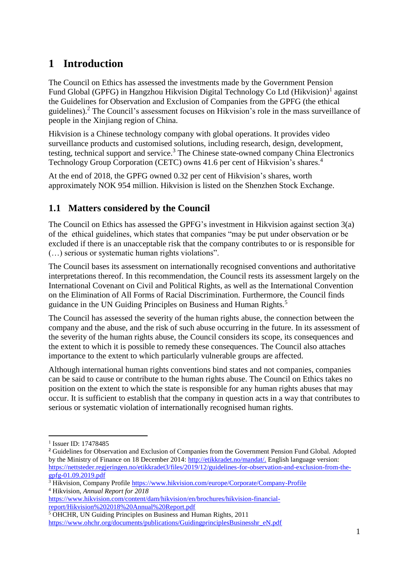## <span id="page-3-0"></span>**1 Introduction**

The Council on Ethics has assessed the investments made by the Government Pension Fund Global (GPFG) in Hangzhou Hikvision Digital Technology Co Ltd (Hikvision)<sup>1</sup> against the Guidelines for Observation and Exclusion of Companies from the GPFG (the ethical guidelines).<sup>2</sup> The Council's assessment focuses on Hikvision's role in the mass surveillance of people in the Xinjiang region of China.

Hikvision is a Chinese technology company with global operations. It provides video surveillance products and customised solutions, including research, design, development, testing, technical support and service.<sup>3</sup> The Chinese state-owned company China Electronics Technology Group Corporation (CETC) owns 41.6 per cent of Hikvision's shares.<sup>4</sup>

At the end of 2018, the GPFG owned 0.32 per cent of Hikvision's shares, worth approximately NOK 954 million. Hikvision is listed on the Shenzhen Stock Exchange.

#### <span id="page-3-1"></span>**1.1 Matters considered by the Council**

The Council on Ethics has assessed the GPFG's investment in Hikvision against section 3(a) of the ethical guidelines, which states that companies "may be put under observation or be excluded if there is an unacceptable risk that the company contributes to or is responsible for (…) serious or systematic human rights violations".

The Council bases its assessment on internationally recognised conventions and authoritative interpretations thereof. In this recommendation, the Council rests its assessment largely on the International Covenant on Civil and Political Rights, as well as the International Convention on the Elimination of All Forms of Racial Discrimination. Furthermore, the Council finds guidance in the UN Guiding Principles on Business and Human Rights.<sup>5</sup>

The Council has assessed the severity of the human rights abuse, the connection between the company and the abuse, and the risk of such abuse occurring in the future. In its assessment of the severity of the human rights abuse, the Council considers its scope, its consequences and the extent to which it is possible to remedy these consequences. The Council also attaches importance to the extent to which particularly vulnerable groups are affected.

Although international human rights conventions bind states and not companies, companies can be said to cause or contribute to the human rights abuse. The Council on Ethics takes no position on the extent to which the state is responsible for any human rights abuses that may occur. It is sufficient to establish that the company in question acts in a way that contributes to serious or systematic violation of internationally recognised human rights.

<u>.</u>

<sup>&</sup>lt;sup>1</sup> Issuer ID: 17478485

<sup>&</sup>lt;sup>2</sup> Guidelines for Observation and Exclusion of Companies from the Government Pension Fund Global. Adopted by the Ministry of Finance on 18 December 2014: [http://etikkradet.no/mandat/.](http://etikkradet.no/mandat/) English language version: [https://nettsteder.regjeringen.no/etikkradet3/files/2019/12/guidelines-for-observation-and-exclusion-from-the](https://nettsteder.regjeringen.no/etikkradet3/files/2019/12/guidelines-for-observation-and-exclusion-from-the-gpfg-01.09.2019.pdf)[gpfg-01.09.2019.pdf](https://nettsteder.regjeringen.no/etikkradet3/files/2019/12/guidelines-for-observation-and-exclusion-from-the-gpfg-01.09.2019.pdf)

<sup>&</sup>lt;sup>3</sup> Hikvision, Company Profile<https://www.hikvision.com/europe/Corporate/Company-Profile> <sup>4</sup> Hikvision, *Annual Report for 2018*

[https://www.hikvision.com/content/dam/hikvision/en/brochures/hikvision-financial](https://www.hikvision.com/content/dam/hikvision/en/brochures/hikvision-financial-report/Hikvision%202018%20Annual%20Report.pdf)[report/Hikvision%202018%20Annual%20Report.pdf](https://www.hikvision.com/content/dam/hikvision/en/brochures/hikvision-financial-report/Hikvision%202018%20Annual%20Report.pdf)

<sup>5</sup> OHCHR, UN Guiding Principles on Business and Human Rights, 2011

[https://www.ohchr.org/documents/publications/GuidingprinciplesBusinesshr\\_eN.pdf](https://www.ohchr.org/documents/publications/GuidingprinciplesBusinesshr_eN.pdf)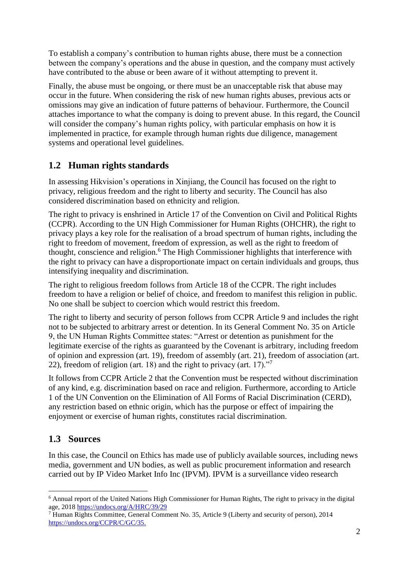To establish a company's contribution to human rights abuse, there must be a connection between the company's operations and the abuse in question, and the company must actively have contributed to the abuse or been aware of it without attempting to prevent it.

Finally, the abuse must be ongoing, or there must be an unacceptable risk that abuse may occur in the future. When considering the risk of new human rights abuses, previous acts or omissions may give an indication of future patterns of behaviour. Furthermore, the Council attaches importance to what the company is doing to prevent abuse. In this regard, the Council will consider the company's human rights policy, with particular emphasis on how it is implemented in practice, for example through human rights due diligence, management systems and operational level guidelines.

### <span id="page-4-0"></span>**1.2 Human rights standards**

In assessing Hikvision's operations in Xinjiang, the Council has focused on the right to privacy, religious freedom and the right to liberty and security. The Council has also considered discrimination based on ethnicity and religion.

The right to privacy is enshrined in Article 17 of the Convention on Civil and Political Rights (CCPR). According to the UN High Commissioner for Human Rights (OHCHR), the right to privacy plays a key role for the realisation of a broad spectrum of human rights, including the right to freedom of movement, freedom of expression, as well as the right to freedom of thought, conscience and religion. <sup>6</sup> The High Commissioner highlights that interference with the right to privacy can have a disproportionate impact on certain individuals and groups, thus intensifying inequality and discrimination.

The right to religious freedom follows from Article 18 of the CCPR. The right includes freedom to have a religion or belief of choice, and freedom to manifest this religion in public. No one shall be subject to coercion which would restrict this freedom.

The right to liberty and security of person follows from CCPR Article 9 and includes the right not to be subjected to arbitrary arrest or detention. In its General Comment No. 35 on Article 9, the UN Human Rights Committee states: "Arrest or detention as punishment for the legitimate exercise of the rights as guaranteed by the Covenant is arbitrary, including freedom of opinion and expression (art. 19), freedom of assembly (art. 21), freedom of association (art. 22), freedom of religion (art. 18) and the right to privacy (art. 17). $\cdot$ <sup>7</sup>

It follows from CCPR Article 2 that the Convention must be respected without discrimination of any kind, e.g. discrimination based on race and religion. Furthermore, according to Article 1 of the UN Convention on the Elimination of All Forms of Racial Discrimination (CERD), any restriction based on ethnic origin, which has the purpose or effect of impairing the enjoyment or exercise of human rights, constitutes racial discrimination.

#### <span id="page-4-1"></span>**1.3 Sources**

<u>.</u>

In this case, the Council on Ethics has made use of publicly available sources, including news media, government and UN bodies, as well as public procurement information and research carried out by IP Video Market Info Inc (IPVM). IPVM is a surveillance video research

<sup>6</sup> Annual report of the United Nations High Commissioner for Human Rights, The right to privacy in the digital age, 2018<https://undocs.org/A/HRC/39/29>

<sup>7</sup> Human Rights Committee, General Comment No. 35, Article 9 (Liberty and security of person), 2014 [https://undocs.org/CCPR/C/GC/35.](https://undocs.org/CCPR/C/GC/35)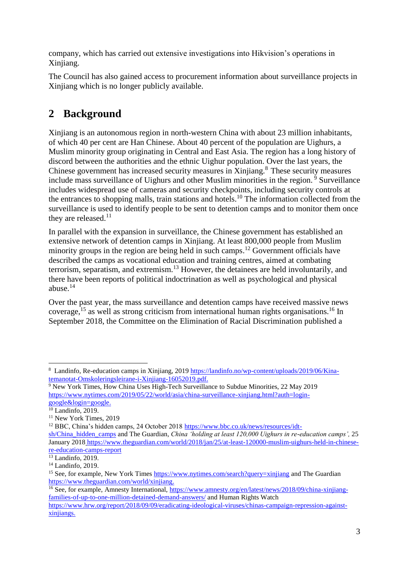company, which has carried out extensive investigations into Hikvision's operations in Xinjiang.

The Council has also gained access to procurement information about surveillance projects in Xinjiang which is no longer publicly available.

### <span id="page-5-0"></span>**2 Background**

Xinjiang is an autonomous region in north-western China with about 23 million inhabitants, of which 40 per cent are Han Chinese. About 40 percent of the population are Uighurs, a Muslim minority group originating in Central and East Asia. The region has a long history of discord between the authorities and the ethnic Uighur population. Over the last years, the Chinese government has increased security measures in Xinjiang.<sup>8</sup> These security measures include mass surveillance of Uighurs and other Muslim minorities in the region.<sup>9</sup> Surveillance includes widespread use of cameras and security checkpoints, including security controls at the entrances to shopping malls, train stations and hotels.<sup>10</sup> The information collected from the surveillance is used to identify people to be sent to detention camps and to monitor them once they are released. $^{11}$ 

In parallel with the expansion in surveillance, the Chinese government has established an extensive network of detention camps in Xinjiang. At least 800,000 people from Muslim minority groups in the region are being held in such camps.<sup>12</sup> Government officials have described the camps as vocational education and training centres, aimed at combating terrorism, separatism, and extremism.<sup>13</sup> However, the detainees are held involuntarily, and there have been reports of political indoctrination as well as psychological and physical abuse.<sup>14</sup>

Over the past year, the mass surveillance and detention camps have received massive news coverage,  $^{15}$  as well as strong criticism from international human rights organisations.<sup>16</sup> In September 2018, the Committee on the Elimination of Racial Discrimination published a

1

<sup>&</sup>lt;sup>8</sup> Landinfo, Re-education camps in Xinjiang, 2019 [https://landinfo.no/wp-content/uploads/2019/06/Kina](https://landinfo.no/wp-content/uploads/2019/06/Kina-temanotat-Omskoleringsleirane-i-Xinjiang-16052019.pdf)[temanotat-Omskoleringsleirane-i-Xinjiang-16052019.pdf.](https://landinfo.no/wp-content/uploads/2019/06/Kina-temanotat-Omskoleringsleirane-i-Xinjiang-16052019.pdf)

<sup>9</sup> New York Times, How China Uses High-Tech Surveillance to Subdue Minorities, 22 May 2019 [https://www.nytimes.com/2019/05/22/world/asia/china-surveillance-xinjiang.html?auth=login](https://www.nytimes.com/2019/05/22/world/asia/china-surveillance-xinjiang.html?auth=login-google&login=google)[google&login=google.](https://www.nytimes.com/2019/05/22/world/asia/china-surveillance-xinjiang.html?auth=login-google&login=google)

 $10$  Landinfo, 2019.

<sup>11</sup> New York Times, 2019

<sup>12</sup> BBC, China's hidden camps, 24 October 2018 [https://www.bbc.co.uk/news/resources/idt-](https://www.bbc.co.uk/news/resources/idt-sh/China_hidden_camps)

[sh/China\\_hidden\\_camps](https://www.bbc.co.uk/news/resources/idt-sh/China_hidden_camps) and The Guardian, *China 'holding at least 120,000 Uighurs in re-education camps',* 25 January 2018 [https://www.theguardian.com/world/2018/jan/25/at-least-120000-muslim-uighurs-held-in-chinese](https://www.theguardian.com/world/2018/jan/25/at-least-120000-muslim-uighurs-held-in-chinese-re-education-camps-report)[re-education-camps-report](https://www.theguardian.com/world/2018/jan/25/at-least-120000-muslim-uighurs-held-in-chinese-re-education-camps-report)

 $13$  Landinfo, 2019.

<sup>&</sup>lt;sup>14</sup> Landinfo, 2019.

<sup>&</sup>lt;sup>15</sup> See, for example, New York Times<https://www.nytimes.com/search?query=xinjiang> and The Guardian [https://www.theguardian.com/world/xinjiang.](https://www.theguardian.com/world/xinjiang)

<sup>&</sup>lt;sup>16</sup> See, for example, Amnesty International, [https://www.amnesty.org/en/latest/news/2018/09/china-xinjiang](https://www.amnesty.org/en/latest/news/2018/09/china-xinjiang-families-of-up-to-one-million-detained-demand-answers/)[families-of-up-to-one-million-detained-demand-answers/](https://www.amnesty.org/en/latest/news/2018/09/china-xinjiang-families-of-up-to-one-million-detained-demand-answers/) and Human Rights Watch

[https://www.hrw.org/report/2018/09/09/eradicating-ideological-viruses/chinas-campaign-repression-against](https://www.hrw.org/report/2018/09/09/eradicating-ideological-viruses/chinas-campaign-repression-against-xinjiangs)[xinjiangs.](https://www.hrw.org/report/2018/09/09/eradicating-ideological-viruses/chinas-campaign-repression-against-xinjiangs)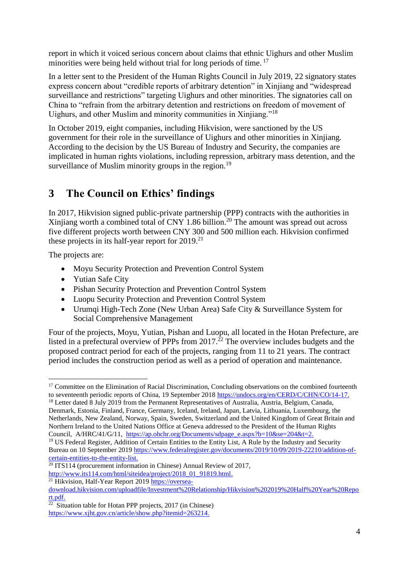report in which it voiced serious concern about claims that ethnic Uighurs and other Muslim minorities were being held without trial for long periods of time.<sup>17</sup>

In a letter sent to the President of the Human Rights Council in July 2019, 22 signatory states express concern about "credible reports of arbitrary detention" in Xinjiang and "widespread surveillance and restrictions" targeting Uighurs and other minorities. The signatories call on China to "refrain from the arbitrary detention and restrictions on freedom of movement of Uighurs, and other Muslim and minority communities in Xinjiang."<sup>18</sup>

In October 2019, eight companies, including Hikvision, were sanctioned by the US government for their role in the surveillance of Uighurs and other minorities in Xinjiang. According to the decision by the US Bureau of Industry and Security, the companies are implicated in human rights violations, including repression, arbitrary mass detention, and the surveillance of Muslim minority groups in the region.<sup>19</sup>

### <span id="page-6-0"></span>**3 The Council on Ethics' findings**

In 2017, Hikvision signed public-private partnership (PPP) contracts with the authorities in Xinjiang worth a combined total of CNY 1.86 billion.<sup>20</sup> The amount was spread out across five different projects worth between CNY 300 and 500 million each. Hikvision confirmed these projects in its half-year report for  $2019$ <sup>21</sup>

The projects are:

1

- Moyu Security Protection and Prevention Control System
- Yutian Safe City
- Pishan Security Protection and Prevention Control System
- Luopu Security Protection and Prevention Control System
- Urumqi High-Tech Zone (New Urban Area) Safe City & Surveillance System for Social Comprehensive Management

Four of the projects, Moyu, Yutian, Pishan and Luopu, all located in the Hotan Prefecture, are listed in a prefectural overview of PPPs from 2017.<sup>22</sup> The overview includes budgets and the proposed contract period for each of the projects, ranging from 11 to 21 years. The contract period includes the construction period as well as a period of operation and maintenance.

<sup>18</sup> Letter dated 8 July 2019 from the Permanent Representatives of Australia, Austria, Belgium, Canada, Denmark, Estonia, Finland, France, Germany, Iceland, Ireland, Japan, Latvia, Lithuania, Luxembourg, the Netherlands, New Zealand, Norway, Spain, Sweden, Switzerland and the United Kingdom of Great Britain and Northern Ireland to the United Nations Office at Geneva addressed to the President of the Human Rights Council, A/HRC/41/G/11, [https://ap.ohchr.org/Documents/sdpage\\_e.aspx?b=10&se=204&t=2.](https://ap.ohchr.org/Documents/sdpage_e.aspx?b=10&se=204&t=2)

<sup>21</sup> Hikvision, Half-Year Report 201[9 https://oversea-](https://oversea-download.hikvision.com/uploadfile/Investment%20Relationship/Hikvision%202019%20Half%20Year%20Report.pdf)

<sup>&</sup>lt;sup>17</sup> Committee on the Elimination of Racial Discrimination, Concluding observations on the combined fourteenth to seventeenth periodic reports of China, 19 September 2018 [https://undocs.org/en/CERD/C/CHN/CO/14-17.](https://undocs.org/en/CERD/C/CHN/CO/14-17)

<sup>&</sup>lt;sup>19</sup> US Federal Register, Addition of Certain Entities to the Entity List, A Rule by the Industry and Security Bureau on 10 September 2019 [https://www.federalregister.gov/documents/2019/10/09/2019-22210/addition-of](https://www.federalregister.gov/documents/2019/10/09/2019-22210/addition-of-certain-entities-to-the-entity-list)[certain-entities-to-the-entity-list.](https://www.federalregister.gov/documents/2019/10/09/2019-22210/addition-of-certain-entities-to-the-entity-list)

 $20$  ITS114 (procurement information in Chinese) Annual Review of 2017, [http://www.its114.com/html/siteidea/project/2018\\_01\\_91819.html.](http://www.its114.com/html/siteidea/project/2018_01_91819.html)

[download.hikvision.com/uploadfile/Investment%20Relationship/Hikvision%202019%20Half%20Year%20Repo](https://oversea-download.hikvision.com/uploadfile/Investment%20Relationship/Hikvision%202019%20Half%20Year%20Report.pdf) [rt.pdf.](https://oversea-download.hikvision.com/uploadfile/Investment%20Relationship/Hikvision%202019%20Half%20Year%20Report.pdf)<br><sup>22</sup> Siti

Situation table for Hotan PPP projects, 2017 (in Chinese) [https://www.xjht.gov.cn/article/show.php?itemid=263214.](https://www.xjht.gov.cn/article/show.php?itemid=263214)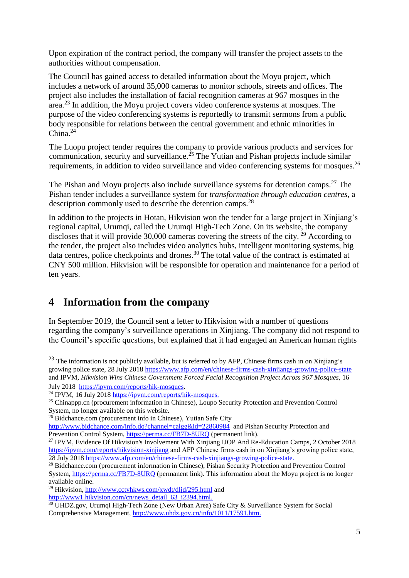Upon expiration of the contract period, the company will transfer the project assets to the authorities without compensation.

The Council has gained access to detailed information about the Moyu project, which includes a network of around 35,000 cameras to monitor schools, streets and offices. The project also includes the installation of facial recognition cameras at 967 mosques in the area.<sup>23</sup> In addition, the Moyu project covers video conference systems at mosques. The purpose of the video conferencing systems is reportedly to transmit sermons from a public body responsible for relations between the central government and ethnic minorities in China. 24

The Luopu project tender requires the company to provide various products and services for communication, security and surveillance.<sup>25</sup> The Yutian and Pishan projects include similar requirements, in addition to video surveillance and video conferencing systems for mosques.<sup>26</sup>

The Pishan and Moyu projects also include surveillance systems for detention camps.<sup>27</sup> The Pishan tender includes a surveillance system for *transformation through education centres*, a description commonly used to describe the detention camps.<sup>28</sup>

In addition to the projects in Hotan, Hikvision won the tender for a large project in Xinjiang's regional capital, Urumqi, called the Urumqi High-Tech Zone. On its website, the company discloses that it will provide 30,000 cameras covering the streets of the city.  $^{29}$  According to the tender, the project also includes video analytics hubs, intelligent monitoring systems, big data centres, police checkpoints and drones.<sup>30</sup> The total value of the contract is estimated at CNY 500 million. Hikvision will be responsible for operation and maintenance for a period of ten years.

### <span id="page-7-0"></span>**4 Information from the company**

<u>.</u>

In September 2019, the Council sent a letter to Hikvision with a number of questions regarding the company's surveillance operations in Xinjiang. The company did not respond to the Council's specific questions, but explained that it had engaged an American human rights

 $^{23}$  The information is not publicly available, but is referred to by AFP. Chinese firms cash in on Xinjiang's growing police state, 28 July 2018<https://www.afp.com/en/chinese-firms-cash-xinjiangs-growing-police-state> and IPVM, *Hikvision Wins Chinese Government Forced Facial Recognition Project Across 967 Mosques,* 16 July 2018<https://ipvm.com/reports/hik-mosques>.

 $^{24}$  IPVM, 16 July 2018 [https://ipvm.com/reports/hik-mosques.](https://ipvm.com/reports/hik-mosques)

<sup>&</sup>lt;sup>25</sup> Chinappp.cn (procurement information in Chinese), Loupo Security Protection and Prevention Control System, no longer available on this website.

<sup>&</sup>lt;sup>26</sup> Bidchance.com (procurement info in Chinese), Yutian Safe City

<http://www.bidchance.com/info.do?channel=calgg&id=22860984>and Pishan Security Protection and Prevention Control System,<https://perma.cc/FB7D-8URQ> (permanent link).

<sup>&</sup>lt;sup>27</sup> IPVM, Evidence Of Hikvision's Involvement With Xinjiang IJOP And Re-Education Camps, 2 October 2018 <https://ipvm.com/reports/hikvision-xinjiang> and AFP Chinese firms cash in on Xinjiang's growing police state, 28 July 2018 [https://www.afp.com/en/chinese-firms-cash-xinjiangs-growing-police-state.](https://www.afp.com/en/chinese-firms-cash-xinjiangs-growing-police-state)

<sup>&</sup>lt;sup>28</sup> Bidchance.com (procurement information in Chinese), Pishan Security Protection and Prevention Control System,<https://perma.cc/FB7D-8URQ> (permanent link). This information about the Moyu project is no longer available online.

<sup>&</sup>lt;sup>29</sup> Hikvision,<http://www.cctvhkws.com/xwdt/dljd/295.html> and

[http://www1.hikvision.com/cn/news\\_detail\\_63\\_i2394.html.](http://www1.hikvision.com/cn/news_detail_63_i2394.html)

<sup>&</sup>lt;sup>30</sup> UHDZ.gov, Urumqi High-Tech Zone (New Urban Area) Safe City & Surveillance System for Social Comprehensive Management, [http://www.uhdz.gov.cn/info/1011/17591.htm.](http://www.uhdz.gov.cn/info/1011/17591.htm)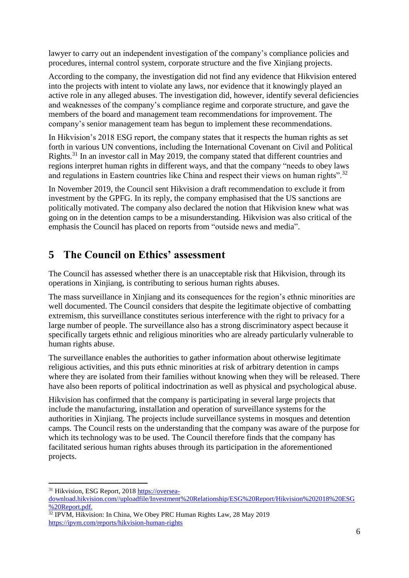lawyer to carry out an independent investigation of the company's compliance policies and procedures, internal control system, corporate structure and the five Xinjiang projects.

According to the company, the investigation did not find any evidence that Hikvision entered into the projects with intent to violate any laws, nor evidence that it knowingly played an active role in any alleged abuses. The investigation did, however, identify several deficiencies and weaknesses of the company's compliance regime and corporate structure, and gave the members of the board and management team recommendations for improvement. The company's senior management team has begun to implement these recommendations.

In Hikvision's 2018 ESG report, the company states that it respects the human rights as set forth in various UN conventions, including the International Covenant on Civil and Political Rights.<sup>31</sup> In an investor call in May 2019, the company stated that different countries and regions interpret human rights in different ways, and that the company "needs to obey laws and regulations in Eastern countries like China and respect their views on human rights".<sup>32</sup>

In November 2019, the Council sent Hikvision a draft recommendation to exclude it from investment by the GPFG. In its reply, the company emphasised that the US sanctions are politically motivated. The company also declared the notion that Hikvision knew what was going on in the detention camps to be a misunderstanding. Hikvision was also critical of the emphasis the Council has placed on reports from "outside news and media".

### <span id="page-8-0"></span>**5 The Council on Ethics' assessment**

The Council has assessed whether there is an unacceptable risk that Hikvision, through its operations in Xinjiang, is contributing to serious human rights abuses.

The mass surveillance in Xinjiang and its consequences for the region's ethnic minorities are well documented. The Council considers that despite the legitimate objective of combatting extremism, this surveillance constitutes serious interference with the right to privacy for a large number of people. The surveillance also has a strong discriminatory aspect because it specifically targets ethnic and religious minorities who are already particularly vulnerable to human rights abuse.

The surveillance enables the authorities to gather information about otherwise legitimate religious activities, and this puts ethnic minorities at risk of arbitrary detention in camps where they are isolated from their families without knowing when they will be released. There have also been reports of political indoctrination as well as physical and psychological abuse.

Hikvision has confirmed that the company is participating in several large projects that include the manufacturing, installation and operation of surveillance systems for the authorities in Xinjiang. The projects include surveillance systems in mosques and detention camps. The Council rests on the understanding that the company was aware of the purpose for which its technology was to be used. The Council therefore finds that the company has facilitated serious human rights abuses through its participation in the aforementioned projects.

1

<sup>&</sup>lt;sup>31</sup> Hikvision, ESG Report, 2018 [https://oversea](https://oversea-download.hikvision.com/uploadfile/Investment%20Relationship/ESG%20Report/Hikvision%202018%20ESG%20Report.pdf)[download.hikvision.com//uploadfile/Investment%20Relationship/ESG%20Report/Hikvision%202018%20ESG](https://oversea-download.hikvision.com/uploadfile/Investment%20Relationship/ESG%20Report/Hikvision%202018%20ESG%20Report.pdf) [%20Report.pdf.](https://oversea-download.hikvision.com/uploadfile/Investment%20Relationship/ESG%20Report/Hikvision%202018%20ESG%20Report.pdf)

<sup>&</sup>lt;sup>32</sup> IPVM, Hikvision: In China, We Obey PRC Human Rights Law, 28 May 2019 <https://ipvm.com/reports/hikvision-human-rights>